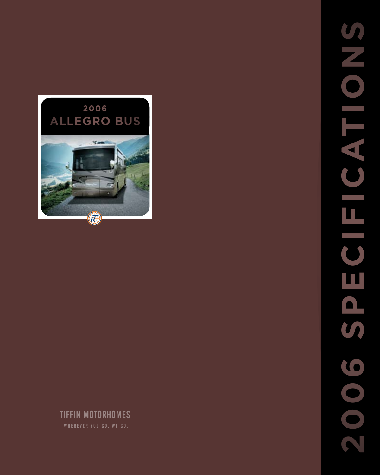

# TIFFIN MOTORHOMES

**2006 specificationsSNONEYO SIP** EICIS 2005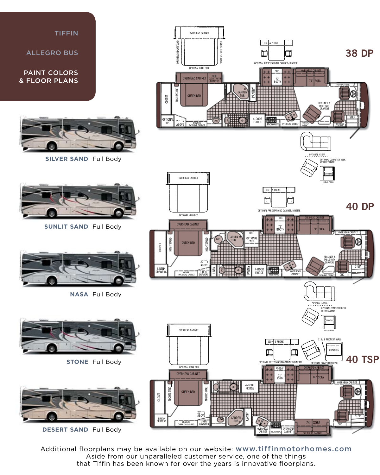

Additional floorplans may be available on our website: www.tiffinmotorhomes.com Aside from our unparalleled customer service, one of the things that Tiffin has been known for over the years is innovative floorplans.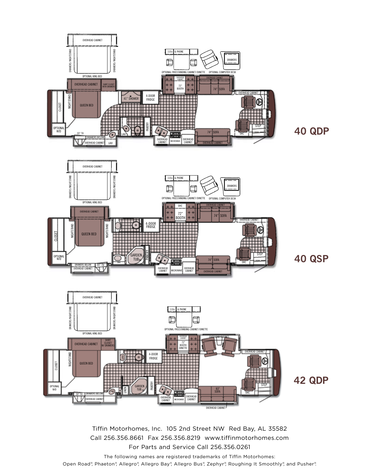

Tiffin Motorhomes, Inc. 105 2nd Street NW Red Bay, AL 35582 Call 256.356.8661 Fax 256.356.8219 www.tiffinmotorhomes.com For Parts and Service Call 256.356.0261

The following names are registered trademarks of Tiffin Motorhomes: Open Road®, Phaeton®, Allegro®, Allegro Bay®, Allegro Bus®, Zephyr®, Roughing It Smoothly®, and Pusher®.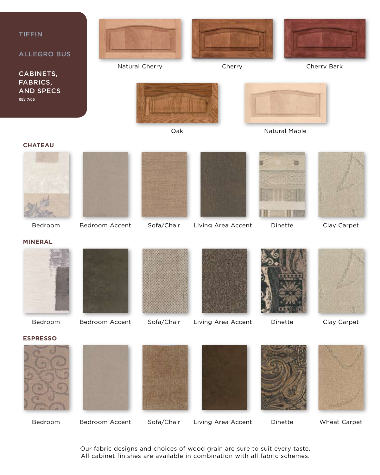

Bedroom Bedroom Accent Sofa/Chair Living Area Accent Dinette Wheat Carpet

Our fabric designs and choices of wood grain are sure to suit every taste. All cabinet finishes are available in combination with all fabric schemes.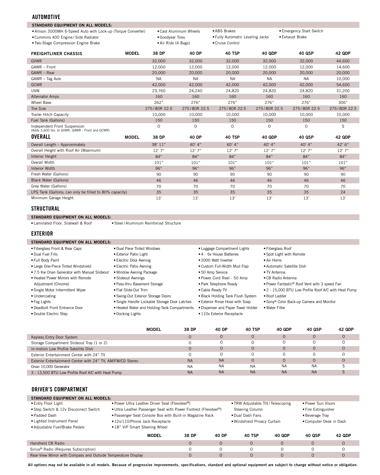#### **AUTOMOTIVE**

| <b>STANDARD EQUIPMENT ON ALL MODELS:</b>                                         |              |                        |                     |                                  |               |                          |               |
|----------------------------------------------------------------------------------|--------------|------------------------|---------------------|----------------------------------|---------------|--------------------------|---------------|
| • Allison 3000MH 6-Speed Auto with Lock-up (Torque Converter)                    |              | . Cast Aluminum Wheels |                     | • ABS Brakes                     |               | • Emergency Start Switch |               |
| • Cummins 400 Engine / Side Radiator                                             |              | · Goodyear Tires       |                     | . Fully Automatic Leveling Jacks |               | • Exhaust Brake          |               |
| . Two-Stage Compression Engine Brake                                             |              |                        | • Air Ride (4 Bags) |                                  |               |                          |               |
|                                                                                  |              |                        |                     |                                  |               |                          |               |
| <b>FREIGHTLINER CHASSIS</b>                                                      | <b>MODEL</b> | 38 DP                  | 40 DP               | <b>40 TSP</b>                    | <b>40 QDP</b> | 40 QSP                   | <b>42 QDP</b> |
| <b>GVWR</b>                                                                      |              | 32,000                 | 32,000              | 32,000                           | 32,000        | 32,000                   | 44,600        |
| GAWR - Front                                                                     |              | 12.000                 | 12,000              | 12,000                           | 12.000        | 12.000                   | 14,600        |
| GAWR - Rear                                                                      |              | 20,000                 | 20,000              | 20,000                           | 20,000        | 20,000                   | 20,000        |
| GAWR - Tag Axle                                                                  |              | <b>NA</b>              | <b>NA</b>           | <b>NA</b>                        | <b>NA</b>     | <b>NA</b>                | 10,000        |
| <b>GCWR</b>                                                                      |              | 42,000                 | 42,000              | 42,000                           | 42,000        | 42,000                   | 54,600        |
| <b>UVW</b>                                                                       |              | 23,760                 | 24,240              | 24,820                           | 24,820        | 24,820                   | 31,200        |
| <b>Alternator Amps</b>                                                           |              | 160                    | 160                 | 160                              | 160           | 160                      | 160           |
| Wheel Base                                                                       |              | 262"                   | 276"                | 276"                             | 276"          | 276"                     | 306"          |
| <b>Tire Size</b>                                                                 |              | 275/80R 22.5           | 275/80R 22.5        | 275/80R 22.5                     | 275/80R 22.5  | 275/80R 22.5             | 275/80R 22.5  |
| Trailer Hitch Capacity                                                           |              | 10,000                 | 10.000              | 10.000                           | 10.000        | 10,000                   | 10,000        |
| Fuel Tank (Gallons)                                                              |              | 150                    | 150                 | 150                              | 150           | 150                      | 150           |
| Independent Front Suspension<br>(Adds 2,600 lbs. to GVWR, GAWR - Front and GCWR) |              | $\Omega$               | $\Omega$            | $\circ$                          | $\Omega$      | $\Omega$                 | S             |
| <b>OVERALL</b>                                                                   | <b>MODEL</b> | 38 DP                  | 40 DP               | 40 TSP                           | <b>40 QDP</b> | <b>40 QSP</b>            | <b>42 QDP</b> |
| Overall Length - Approximately                                                   |              | 38' 11"                | $40'$ 4"            | 40' 4"                           | 40' 4"        | 40' 4"                   | 42'6''        |
| Overall Height with Roof Air (Maximum)                                           |              | 12'7''                 | 12'7''              | 12'7''                           | 12'7''        | 12'7''                   | 12'7''        |
| Interior Height                                                                  |              | 84"                    | 84"                 | 84"                              | 84"           | 84"                      | 84"           |
| Overall Width                                                                    |              | 101"                   | 101"                | 101"                             | 101"          | 101"                     | 101"          |
| <b>Interior Width</b>                                                            |              | 96"                    | 96"                 | 96"                              | 96"           | 96"                      | 96"           |
| Fresh Water (Gallons)                                                            |              | 90                     | 90                  | 90                               | 90            | 90                       | 90            |
| <b>Black Water (Gallons)</b>                                                     |              | 46                     | 46                  | 46                               | 46            | 46                       | 46            |
| Grey Water (Gallons)                                                             |              | 70                     | 70                  | 70                               | 70            | 70                       | 70            |
| LPG Tank (Gallons; can only be filled to 80% capacity)                           |              | 35                     | 35                  | 35                               | 35            | 35                       | 24            |
| Minimum Garage Height                                                            |              | 13'                    | 13'                 | 13'                              | 13'           | 13'                      | 13'           |
|                                                                                  |              |                        |                     |                                  |               |                          |               |

### **structural**

**standard equipment on all models:**

•Steel / Aluminum Reinforced Structure •Laminated Floor, Sidewall & Roof

### **EXTERIOR**

| <b>STANDARD EQUIPMENT ON ALL MODELS:</b>     |                                               |                                   |
|----------------------------------------------|-----------------------------------------------|-----------------------------------|
| • Fiberglass Front & Rear Caps               | • Dual Pane Tinted Windows                    | • Luggage Compartment Lights      |
| • Dual Fuel Fills                            | • Exterior Patio Light                        | • 4 - 6y House Batteries          |
| • Full Body Paint                            | • Electric Door Awning                        | • 2000 Watt Inverter              |
| • Large One-Piece Tinted Windshield          | • Electric Patio Awning                       | • Custom Full-Width Mud Flap      |
| • 7.5 Kw Onan Generator with Manual Slideout | • Window Awning Package                       | • 50 Amp Service                  |
| • Heated Power Mirrors with Remote           | • Slideout Awnings                            | • Power Cord Reel - 50 Amp        |
| Adjustment (Chrome)                          | · Pass-thru Basement Storage                  | • Park Telephone Ready            |
| • Single Motor Intermittent Wiper            | • Flat Slide-Out Trim                         | • Cable Ready TV                  |
| • Undercoating                               | • Swing-Out Exterior Storage Doors            | • Black Holding Tank Flush System |
| • Fog Lights                                 | • Single Handle Lockable Storage Door Latches | • Exterior Rinse Hose with Soap   |

#### •Deadbolt Front Entrance Door

•Double Electric Step

- •Heated Water and Holding-Tank Compartments •Dispenser and Paper Towel Holder
- •Docking Lights
- •CB Radio Antenna
	- •Power Fantastic® Roof Vent with 3 speed Fan
	- •2 15,000 BTU Low Profile Roof A/C with Heat Pump

•Roof Ladder

•Fiberglass Roof •Spot Light with Remote •Air Horns

•Automatic Satellite Dish •TV Antenna

- •Sony® Color Back-up Camera and Monitor
- •Water Filter
- •110v Exterior Receptacle
- -
- 

|                                                            | <b>MODEL</b> | 38 DP     | 40 DP     | 40 TSP    | 40 QDP    | 40 QSP    | <b>42 QDP</b> |
|------------------------------------------------------------|--------------|-----------|-----------|-----------|-----------|-----------|---------------|
| Keyless Entry Door System                                  |              | 0         |           |           |           |           |               |
| Storage Compartment Slideout Tray (1 or 2)                 |              |           |           |           |           |           |               |
| In-motion Low Profile Satellite Dish                       |              | 0         |           |           |           | 0         |               |
| Exterior Entertainment Center with 24" TV                  |              |           |           |           |           |           |               |
| Exterior Entertainment Center with 24" TV, AM/FM/CD Stereo |              | <b>NA</b> | <b>NA</b> |           |           |           |               |
| Onan 10,000 Generator                                      |              | <b>NA</b> | <b>NA</b> | <b>NA</b> | <b>NA</b> | <b>NA</b> |               |
| 3 - 13,500 BTU Low Profile Roof A/C with Heat Pump         |              | <b>NA</b> | <b>NA</b> | <b>NA</b> | <b>NA</b> | <b>NA</b> |               |

## **DRIVER'S COMPARTMENT**

| STANDARD EQUIPMENT ON ALL MODELS:                             |                                                                 |                  |          |                                            |          |                     |                              |  |
|---------------------------------------------------------------|-----------------------------------------------------------------|------------------|----------|--------------------------------------------|----------|---------------------|------------------------------|--|
| • Entry Floor Light                                           | • Power Ultra Leather Driver Seat (Flexsteel®)                  |                  |          | • TRW Adjustable Tilt / Telescoping        |          | • Power Sun Visors  |                              |  |
| . Step Switch & 12v Disconnect Switch                         | • Ultra Leather Passenger Seat with Power Footrest (Flexsteel®) |                  |          | Steering Column                            |          | • Fire Extinguisher |                              |  |
| · Padded Dash                                                 | • Passenger Seat Console Box with Built-in Magazine Rack        | . Dual Dash Fans |          | • Beverage Tray<br>• Computer Desk in Dash |          |                     |                              |  |
| • Lighted Instrument Panel                                    | .12v/110/Phone Jack Receptacle<br>.18" VIP Smart Steering Wheel |                  |          |                                            |          |                     | . Windshield Privacy Curtain |  |
| · Adjustable Fuel/Brake Pedals                                |                                                                 |                  |          |                                            |          |                     |                              |  |
|                                                               | <b>MODEL</b>                                                    | 38 DP            | 40 DP    | <b>40 TSP</b>                              | 40 QDP   | 40 QSP              | 42 QDP                       |  |
| Handheld CB Radio                                             |                                                                 | $\Omega$         | $\Omega$ | $\Omega$                                   | $\circ$  | $\circ$             | $\circ$                      |  |
| Sirius <sup>®</sup> Radio (Requires Subscription)             |                                                                 |                  | $\Omega$ | $\Omega$                                   | $\Omega$ | $\Omega$            |                              |  |
| Rear-View Mirror with Compass and Outside Temperature Display |                                                                 |                  | $\Omega$ | $\Omega$                                   | $\Omega$ | 0                   |                              |  |

Rear-View Mirror with Compass and Outside Temperature Display

**All options may not be available in all models. Because of progressive improvements, specifications, standard and optional equipment are subject to change without notice or obligation.** O